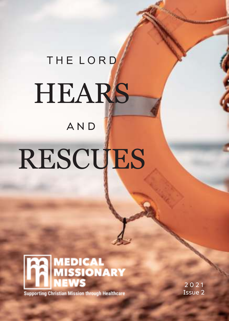### T H E L O R D

## **HEARS**

### A N D

### RESCUES



**Supporting Christian Mission through Healthcare** 

2 0 2 1 Issue 2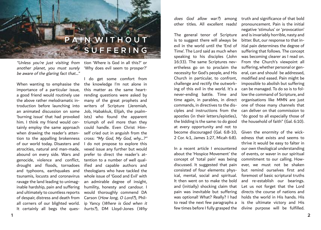

another planet, you must surely be aware of the glaring fact that…"

importance of a particular issue, a good friend would routinely use the above rather melodramatic introduction before launching into an animated discussion on some 'burning issue' that had provoked him. I think my friend would certainly employ the same approach when drawing the reader's attention to the appalling brokenness of our world today. Disasters and atrocities, natural and man-made, abound on every side. Wars and genocide, violence and conflict, drought and floods, tornadoes and typhoons, earthquakes and tsunamis, locusts and coronavirus ravage the land leading to unimaginable hardship, pain and suffering and ultimately to countless reports of despair, distress and death from all corners of our blighted world. It certainly all begs the ques-

"Unless you're just visiting from tion 'Where is God in all this?' or 'Why does evil seem to prosper?'

When wanting to emphasise the the knowledge I'm not alone in I do get some comfort from this matter as the same heartrending questions were asked by many of the great prophets and writers of Scripture (Jeremiah, Job, Habakkuk, Elijah, the psalmists) who found the apparent triumph of evil more than they could handle. Even Christ Himself cried out in anguish from the cross: "My God, My God, why…?" I do not propose to explore this vexed issue any further but would prefer to direct the reader's attention to a number of well qualified and capable authors and theologians who have tackled the whole issue of 'Good and Evil' with an admirable degree of insight, humility, honesty and candour. I would thoroughly commend DA Carson (How long, O Lord?), Philip Yancy (Where is God when it hurts?), DM Lloyd-Jones (Why other titles. All excellent reads!

is to suggest there will always be evil in the world until the 'End of Time'. The Lord said as much when speaking to his disciples (John 16:33). The same Scriptures nevertheless go on to proclaim the necessity for God's people, and His Church in particular, to confront, challenge and rectify the outworking of this evil in the world. It's a never-ending battle. Time and time again, in parables, in direct commands, in directives to the disciples and instructions from the apostles (in their letters/epistles), the bidding is the same: to do good at every opportunity and not to become discouraged (Gal. 6:8-10, 2 Cor. 4:1, James 1:27, Micah 6:8).

In a recent article I encountered about the 'Hospice Movement' the concept of 'total pain' was being discussed. It suggested that pain consisted of four elements: physical, mental, social and spiritual. It then went on to make the bold and (initially) shocking claim that pain was inevitable but suffering was optional! What? Really? I had to read the next few paragraphs a

does God allow war?) among truth and significance of that bold The general tenor of Scripture and is invariably horrible, nasty and pronouncement. Pain is the initial negative 'stimulus' or 'provocation' bitter. But, our response to that initial pain determines the degree of suffering that follows. The concept was becoming clearer as I read on. From the Church's viewpoint all suffering, whether personal or general, can and should be addressed, modified and eased. Pain might be impossible to abolish but suffering can be managed. To do so is to follow the command of Scripture, and organisations like MMN are just one of those many channels that can deliver on that commission to "do good to all especially those of the household of faith" (Gal. 6:10).

few times before I fully grasped the divine purpose will be fulfilled. Given the enormity of the wickedness that exists and seems to thrive it would be easy to falter in our own theological understanding of events, or waver in our spiritual commitment to our calling. However, we must not be shaken but remind ourselves first and foremost of basic scriptural truths and re-establish our bearings. Let us not forget that the Lord directs the course of nations and holds the world in His hands. His is the ultimate victory and His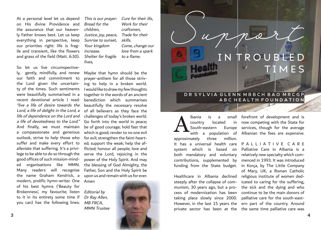At a personal level let us depend on His divine Providence and the assurance that our heavenly Father knows best. Let us keep everything in perspective, keep our priorities right: life is fragile and transient, like the flowers and grass of the field (Matt. 6:30).

So let us live circumspectively, gently, mindfully, and renew our faith and commitment to the Lord given the uncertainty of the times. Such sentiments were beautifully summarised in a recent devotional article I read: "live a life of desire towards the Lord, a life of delight in the Lord, a life of dependence on the Lord and a life of devotedness to the Lord." And finally, we must maintain a compassionate and generous outlook, strive to help those who suffer and make every effort to alleviate that suffering. It's a privilege to be able to do so through the good offices of such mission-minded organisations like MMN. Many readers will recognise the name Graham Kendrick, a modern, prolific hymn-writer. One of his best hymns ('Beauty for Brokenness', my favourite; listen to it in its entirety some time if you can) has the following lines:

This is our prayer: Cure for their ills, Bread for the children, Justice, joy, peace, Sunrise to sunset, Your kingdom increase. Shelter for fragile lives,

Work for their craftsmen, Trade for their skills. Come, change our love from a spark to a flame.

Maybe that hymn should be the prayer-anthem for all those striving to help in a broken world. I would like to draw my few thoughts together in the words of an ancient benediction which summarises beautifully the necessary resolve of all believers as they face the challenges of today's broken world. Go forth into the world in peace; be of good courage; hold fast that which is good; render to no one evil for evil; strengthen the faint-hearted; support the weak; help the afflicted; honour all people; love and serve the Lord, rejoicing in the power of the Holy Spirit. And may the blessing of God Almighty, the Father, Son and the Holy Spirit be upon us and remain with us for ever.

Editorial by Dr Ray Allen, MB FRCA, MMN Trustee

Amen



### **D R S Y L V I A G L E N N M B B C H B A O M R C G P A B C H E A L T H F O U N D A T I O N**

I N T R O U B L E D

Support

country located South-eastern approximately three million. It has a universal health care P A L L I A T I V E C A R E system which is based on both mandatory and voluntary contributions, supplemented by A

Healthcare in Albania declined religious institute of women dedsteeply after the collapse of communism, 30 years ago, but a protaking place slowly since 2000. private sector has been at the the same time palliative care was

lbania is a small forefront of development and is with a population of Albanian the fees are expensive. in now competing with the State for Europe services, though for the average

T I M E S

funding from the State budget. in Korça, by The Little Company cess of modernization has been continue to be the main donors of However, in the last 15 years the ern part of the country. Around Palliative Care in Albania is a relatively new specialty which commenced in 1993. It was introduced of Mary, UK, a Roman Catholic icated to caring for the suffering, the sick and the dying and who palliative care for the south-east-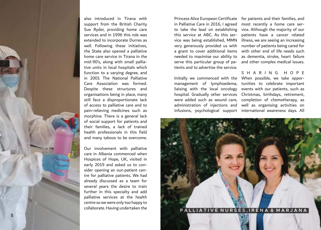

also introduced in Tirana with support from the British Charity Sue Ryder, providing home care services and in 1996 this role was extended to incorporate Durres as well. Following these initiatives, the State also opened a palliative home care service in Tirana in the mid-90's, along with small pallia tive units in local hospitals which function to a varying degree, and in 2001 The National Palliative Care Association was formed. Despite these structures and organisations being in place, many still face a disproportionate lack of access to palliative care and to pain-relieving medicines such as morphine. There is a general lack of social support for patients and their families, a lack of trained health professionals in this field and many taboos to be overcome.

Our involvement with palliative care in Albania commenced when Hospices of Hope, UK, visited in early 2019 and asked us to con sider opening an out-patient cen tre for palliative patients. We had already discussed as a team for several years the desire to train further in this specialty and add palliative services at the health centre so we were only too happy to

in Palliative Care in 2016, I agreed most recently a home care ser a grant to cover additional items needed to maximise our ability to serve this particular group of pa tients and to advertise the service.

Initially we commenced with the When possible, we take oppor management of lymphoedema, tunities to celebrate important liaising with the local oncology events with our patients, such as hospital. Gradually other services Christmas, birthdays, retirement, were added such as wound care, completion of chemotherapy, as administration of injections and well as organising activities on

Princess Alice European Certificate for patients and their families, and to take the lead on establishing vice. Although the majority of our this service at ABC. As this ser - patients have a cancer related vice was being established, MMN illness, we are seeing an increasing very generously provided us with number of patients being cared for with other end of life needs such as dementia, stroke, heart failure and other complex medical issues.

infusions, psychological support international awareness days. All S H A R I N G H O P E

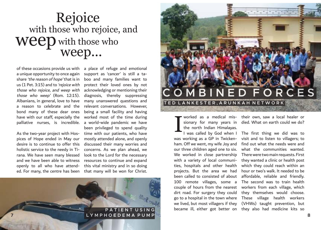### Rejoice with those who rejoice, and weep weep... with those who

of these occasions provide us with a unique opportunity to once again share 'the reason of hope' that is in us (1 Pet. 3:15) and to 'rejoice with those who rejoice, and weep with those who weep' (Rom. 12:15). Albanians, in general, love to have a reason to celebrate and the bond many of these dear ones have with our staff, especially the palliative nurses, is incredible.

As the two-year project with Hospices of Hope ended in May our desire is to continue to offer this holistic service to the needy in Tirana. We have seen many blessed openly to all who have attended. For many, the centre has been that many will be won for Christ.

and we have been able to witness resources to continue and expand a place of refuge and emotional support as 'cancer' is still a taboo and many families want to protect their loved ones by not acknowledging or mentioning their diagnosis, thereby suppressing many unanswered questions and relevant conversations. However, being a small facility and having worked most of the time during a world-wide pandemic we have been privileged to spend quality time with our patients, who have mostly attended alone, and openly discussed their many worries and concerns. As we plan ahead, we look to the Lord for the necessary this vital ministry and in so doing



# **C O M B I N E D F O R C E S T E D L A N K E S T E R , A R U N K A H N E T W O R K**

the north Indian Himalayas. was working as a GP in Twickenham. Off we went, my wife Joy and our three children aged one to six. We worked in close partnership with a variety of local communi- they wanted a clinic or health post ties, hospitals and other health which they could reach within an projects. But the area we had been called to consisted of about affordable, reliable and friendly. 100 remote villages, some a The second was to train health couple of hours from the nearest workers from each village, which dirt road. For surgery they could they themselves would choose. go to a hospital in the town where These village health workers we lived, but most villagers if they (VHWs) taught prevention, but became ill, either got better on they also had medicine kits so I

worked as a medical mis-their own, saw a local healer or sionary for many years in died. What on earth could we do?

I was called by God when I The first thing we did was to visit and to listen to villagers; to find out what the needs were and what the communities wanted. There were two main requests. First hour or two's walk. It needed to be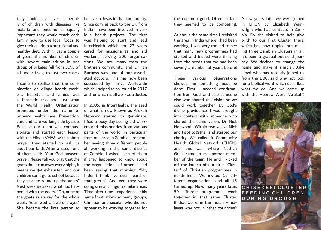they could save lives, especial- believe in Jesus in that community. malaria and pneumonia. Equally important they would teach each family how to use local foods to give their children a nutritional and healthy diet. Within just a couple of years the number of children with severe malnutrition in one group of villages fell from 30% of all under-fives, to just two cases.

cure and care working side by side. I had a busy day seeing aid workwith the Hindu VHWs with a short from one area in Zambia. I remem-She became the first person to appear to be working together for a fantastic trio and just what the World Health Organisation promotes under the name of primary health care. Prevention, Because our team was compassionate and started each lesson means we get exhausted, and our children can't go to school because they have to round up the goats" Next week we asked what had hapthe goats ran away for the whole week. Your God answers prayer."

ly of children with diseases like) Since coming back to the UK from India I have been involved in various health projects. The first was helping to start and lead InterHealth which for 27 years cared for missionaries and aid workers, serving 500 organisations. We saw many from the brethren community, and Dr Ian Burness was one of our associated doctors. This has now been I came to realise that the com- succeeded by Thrive Worldwide bination of village health work- which I helped to co-found in 2017 ers, hospitals and clinics was andforwhich I still work as a doctor.

In 2005, in InterHealth, the seed of what is now known as Arukah Network started to germinate. ers and missionaries from various parts of the world, in particular prayer, they started to ask us ber seeing three different people about our faith. After a lesson one all working in the same district of them said: "Your God answers of Zambia. I asked each of them prayer. Please will you pray that the if they happened to know about goats don't run away every night, it the organisations of others I had been seeing that morning. "No, I don't think I've ever heard of that group". And yet, they were doing similar things in similar areas. pened with the goats. "Oh, none of Time after time I experienced this same frustration- so many groups, Christian and secular, who did not the common good. Often in fact A few years later we were joined they seemed to be competing. in CHGN by Elizabeth Wain-

At about the same time I revisited bia. So she visited to help give the area in India where I had been birth to our first Cluster there, working. I was very thrilled to see which has now rippled out makthat many new programmes had started and indeed were thriving It's been a gradual but solid jourfrom the seeds that we had been sowing a number of years before! name and make it simpler. Jake

showed me something must be done. First I needed confirma-what we do. And we came up tion from God, and also someone with the Hebrew Word "Arukah", else who shared this vision so we could work together. By God's divine providence, I was brought into contact with someone who shared the same vision, Dr Nick Henwood. Within two weeks Nick and I got together and started our charity. We called it Community Health Global Network (CHGN) and this was where Nathan Grills came in as another member of the team. He and I kicked off the launch of our first "Cluster" of Christian programmes in north India. We invited 15 different organisations and all 15 turned up. Now, many years later, 50 different programmes work together in that same Cluster. If that works in the Indian Himalayas why not in other countries?

These various observations from the BBC, said why not look wright who had contacts in Zaming three Zambian Clusters in all. ney. We decided to change the Lloyd who has recently joined us for a biblical word which describes

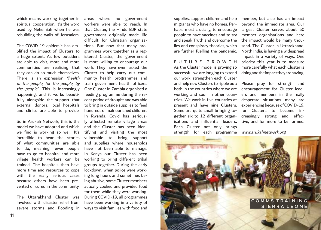which means working together in spiritual cooperation. It's the word used by Nehemiah when he was rebuilding the walls of Jerusalem.

The COVID-19 epidemic has amplified the impact of Clusters to a huge extent. As few outsiders are able to visit, more and more communities are realising that they can do so much themselves. There is an expression "health of the people, for the people, by the people". This is increasingly happening, and it works beautifully alongside the support that external donors, local hospitals and clinics are able to provide.

So in Arukah Network, this is the model we have adopted and which we find is working so well. It's incredible to hear the stories of what communities are able to do, meaning fewer people have to go to hospital and more village health workers can be trained. The hospitals then have more time and resources to cope with the really serious cases because others have been prevented or cured in the community.

The Uttarakhand Cluster was involved with disaster relief from severe storms and flooding in areas where no government workers were able to reach. In that Cluster, the Hindu BJP state government originally made life difficult for Christian organisations. But now that many programmes work together as a registered Cluster, the government is more willing to encourage our work. They have even asked the Cluster to help carry out community health programmes and train government health officers. One Cluster in Zambia organised a feeding programme during the recent period of drought and was able to bring in outside supplies to feed hundreds of malnourished children.

In Rwanda, Covid has seriously affected remote village areas and the Cluster has been identifying and visiting the most vulnerable to bring support and supplies where households have not been able to manage. In Kenya our Cluster has been working to bring different tribal groups together. During the early lockdown, when police were working long hours and sometimes being abusive, some Cluster members actually cooked and provided food for them while they were working. During COVID-19, all programmes have been working in a variety of ways to visit families with food and

supplies, support children and help migrants who have no homes. Perhaps, most crucially, to encourage people to have vaccines and to try member organisations and here and speak Truth and overcome the the impact would be many thoulies and conspiracy theories, which are further fuelling the pandemic.

F U T U R E G R O W T H As the Cluster model is proving so successful we are longing to extend our work, strengthen each Cluster and help new Clusters to ripple out: both in the countries where we are encouragement for Cluster leadworking and soon in other countries. We work in five countries at desperate situations many are present and have nine Clusters. Some are quite small bringing together six to 12 different organ-creasingly strong and effecisations and influential leaders. tive, and for more to be formed. Each Cluster not only brings strength for each programme www.arukahnetwork.org

member, but also has an impact beyond the immediate area. Our largest Cluster serves about 50 sand. The Cluster in Uttarakhand, North India, is having a widespread impact in a variety of ways. One priority this year is to measure more carefully what each Cluster is doing and the impact they are having.

Please pray for strength and ers and members in the really experiencing because of COVID-19, for Clusters to become in-

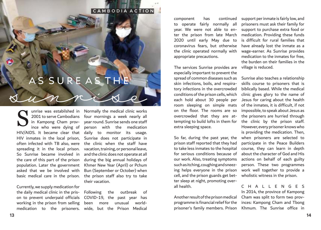### **C A M B O D I A A C T I O N**

# AS SURE AS THE

in Kampong Cham province who were dying of HIV/AIDS. It became clear that HIV inmates in the local prison, often infected with TB also, were spreading it in the local prison. So Sunrise became involved in the care of this part of the prison population. Later the government asked that we be involved with basic medical care in the prison. S

Currently, we supply medication for the daily medical clinic in the prison to prevent underpaid officials working in the prison from selling medication to the prisoners.

unrise was estabilshed in Normally the medical clinic works 2001 to serve Cambodians four mornings a week nearly all year round. Sunrise sends one staff person with the medication daily to monitor its usage. Sunrise does not participate in the clinic when the staff have vacation, training, or personal leave, and the clinic does not operate at all during the big annual holidays of Khmer New Year (April) or Pchum Bun (September or October) when the prison staff also try to take their vacation.

> Following the outbreak of COVID-19, the past year has been more unusual worldwide, but the Prison Medical

component has continued to operate fairly normally all year. We were not able to enter the prison from late March 2020 until early May due to coronavirus fears, but otherwise the clinic operated normally with appropriate precautions.

The services Sunrise provides are village is reduced. especially important to prevent the spread of common diseases such as skin infections, boils, and respiratory infections in the overcrowded conditions of the prison cells, which each hold about 30 people per room sleeping on simple mats on the floor. The rooms are so overcrowded that they are attempting to build lofts in them for extra sleeping space.

So far, during the past year, the prison staff reported that they had to take less inmates to the hospital for serious conditions because of our work. Also, treating symptoms such as itching, coughing and sneezing helps everyone in the prison cell, and the prison guards get better sleep at night, promoting overall health.

Another result of the prison medical programme is financial relief for the prisoner's family members. Prison

support per inmate is fairly low, and prisoners must ask their family for support to purchase extra food or medication. Providing these funds is difficult for rural families that have already lost the inmate as a wage-earner. As Sunrise provides medication to the inmates for free, the burden on their families in the

Sunrise also teaches a relationship skills course to prisoners that is biblically based. While the medical clinic gives glory to the name of Jesus for caring about the health of the inmates, it is difficult, if not impossible, to speak about Jesus as the prisoners are hurried through the clinic by the prison staff. However, every prisoner knows who is providing the medication. Then, when prisoners are selected to participate in the Peace Builders course, they can learn in depth about the character of God and His actions on behalf of each guilty person. These two programmes work well together to provide a wholistic witness in the prison.

C H A L L E N G E S In 2014, the province of Kampong Cham was split to form two provinces: Kampong Cham and Tbong Khmum. The Sunrise office in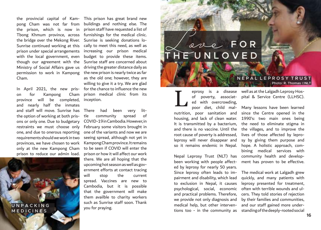pong Cham was not far from buildings and nothing else. The the prison, which is now in prisonstaffhavenrequested a list of Tbong Khmum province, across furnishings for the medical clinic. the bridge over the Mekong River. Sunrise is seeking donations lo-Sunrise continued working at this cally to meet this need, as well as prison under special arrangements increasing our prison medical with the local government, even though our agreement with the Ministry of Social Affairs gave us driving the greater distance daily as permission to work in Kampong the new prison is nearly twice as far Cham.

on for Kampong province will be completed, and nearly half the inmates and staff will move. Sunrise has There had been very litthe option of working at both prisons or only one. Due to budgetary restraints we must choose only one, and due to onerous reporting requirements should we work in two provinces, we have chosen to work only at the new Kampong Cham prison to reduce our admin load.

you for praying. **U N P A C K I N G M E D I C I N E S**

the provincial capital of Kam-This prison has great brand new In April 2021, the new pris-for the chance to influence the new budget to provide these items. Sunrise staff are concerned about as the old one; however, they are willing to give it a try. We are glad Cham prison medical clinic from its inception.

> tle community spread of COVID-19 in Cambodia. However, in February some visitors brought in one of the variants and now we are seeing spread, although not yet in Kampong Cham province. It remains to be seen if COVID will enter the prison or how it will affect our work there. We are all hoping that the upcoming hot season as well as government efforts at contact tracing will stop the current spread. Vaccines are new to Cambodia, but it is possible that the government will make them availble to charity workers such as Sunrise staff soon. Thank

### Love **F O R T H E U N L O V E D**

#### **N E P A L L E P R O S Y T R U S T Photo: R. Thomas** ©**NLT**

ed with overcrowding, It is transmitted by a bacterium, root cause of poverty is addressed, lives of those affected by leproleprosy will never disappear and so it remains endemic in Nepal. L

been working with people affect-ment has proven to be effective. ed by leprosy for nearly 50 years. Since leprosy often leads to impairment and disability, which lead to exclusion in Nepal, it causes psychological, social, economic and practical problems. Therefore, we provide not only diagnosis and medical help, but other interven-

eprosy is a disease well as at the Lalgadh Leprosy Hosof poverty, associat-pital & Service Centre (LLHSC).

poor diet, child mal-Many lessons have been learned nutrition, poor sanitation and since the Centre opened in the housing, and lack of clean water. 1990's: two main ones being and there is no vaccine. Until the the villages, and to improve the Nepal Leprosy Trust (NLT) has community health and developthe need to eliminate stigma in sy by giving them purpose and hope. A holistic approach, combining medical services with

tions too - in the community as standing of the deeply-rooted social The medical work at Lalgadh grew quickly, and many patients with leprosy presented for treatment, often with terrible wounds and ulcers. They told stories of rejection by their families and communities, and our staff gained more under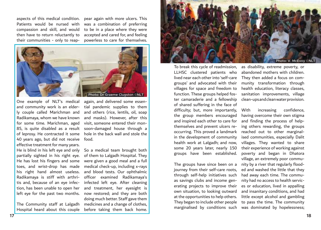compassion and skill, and would then have to return reluctantly to their communities - only to reap-

aspects of this medical condition. pear again with more ulcers. This Patients would be nursed with was a combination of preferring to be in a place where they were accepted and cared for, and feeling powerless to care for themselves.



One example of NLT's medical again, and delivered some essenand community work is an elderly couple called Marichman and Radikamaya, whom we have known for some time. Marichman, aged 85, is quite disabled as a result soon-damaged house through a of leprosy. He contracted it some 40 years ago, but did not receive effective treatment for many years. He is blind in his left eye and only partially sighted in his right eye. He has lost his fingers and some toes, and wrist-drop has made his right hand almost useless. Radikamaya is stiff with arthritis and, because of an eye infection, has been unable to open her left eye for the past two months. now restored; and they are both

tial pandemic supplies to them and others (rice, lentils, oil, soap and masks). However, after this visit, someone entered their monhole in the back wall and stole the food.

So a medical team brought both of them to Lalgadh Hospital. They were given a good meal and a full medical check-up, including x-rays and blood tests. Our ophthalmic officer examined Radikamaya's infected left eye. After cleaning and treatment, her eyesight is doing much better. Staff gave them medicines and a change of clothes, before taking them back home.

The Community staff at Lalgadh Hospital heard about this couple



To break this cycle of readmission, LLHSC clustered patients who lived near each other into 'self-care groups' and advocated with their villages for space and freedom to function. These groups helped foster camaraderie and a fellowship of shared suffering in the face of difficulty; but, more importantly, the group members encouraged and inspired each other to care for themselves and prevent ulcers reoccurring. This proved a landmark in the development of community health work at Lalgadh; and now, some 20 years later, nearly 150 groups have been established.

The groups have since been on a journey from their self-care roots, through self-help initiatives such as savings clubs and income generating projects to improve their own situation, to looking outward at the opportunities to help others. They began to include other people marginalised by conditions such was dominated by hopelessness;

as disability, extreme poverty, or abandoned mothers with children. They then added a focus on community transformation through health education, literacy classes, sanitation improvements, village clean-ups and clean water provision.

With increasing confidence, having overcome their own stigma and finding the process of helping others rewarding, the groups reached out to other marginalised communities, especially Dalit villages. They wanted to share their experience of working against poverty and began in Dhatora village, an extremely poor community by a river that regularly flooded and washed the little that they had away each time. The community had no access to health services or education, lived in appalling and insanitary conditions, and had little except alcohol and gambling to pass the time. The community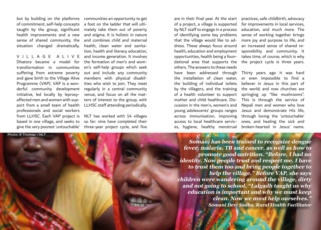but by building on the platforms communities an opportunity to get

Dhatora became a model for the formation of men's and womsuffering from extreme poverty and gave birth to the Village Alive Programme (VAP). VAP is a wonderful community development initiative, led locally by leprosyaffected men and women with support from a small team of health professionals and social workers from LLHSC. Each VAP project is NLT has worked with 14 villages based in one village, and seeks to so far: nine have completed their give the very poorest 'untouchable' three-year project cycle, and five

of commitment, self-help concepts a foot on the ladder that will ultitaught by the group, significant mately take them out of poverty health improvements and a new and stigma. It is holistic in nature sense of shared community, the and combines child and maternal situation changed dramatically. health, clean water and sanita-V I L L A G E A L I V E and income generation. It involves transformation in communities en's self-help groups which seek tion, health and literacy education, out and include any community members with physical disabilities who wish to join. They meet regularly in a central community venue, and focus on all the matters of interest to the group, with LLHSC staff attending periodically.

are in their final year. At the start practices, safe childbirth, advocacy of a project, a village is supported by NLT staff to engage in a process of identifying some key problems that the village would like to address. These always focus around health, education and employment opportunities, health being a foundational area that supports the the project cycle is three years. others. The answers to these needs have been addressed through Thirty years ago it was hard the building of individual toilets cussion in the men's, women's and young adolescents' groups ranges es, hygiene, healthy menstrual broken-hearted in Jesus' name.

for improvements in local services, education, and much more. The sense of working together brings more joy and purpose to life, and an increased sense of shared responsibility and community. It takes time, of course, which is why

the installation of clean water, or even impossible to find a by the villagers, and the training the world; and now churches are of a health volunteer to support springing up "like mushrooms". mother and child healthcare. Dis-This is through the service of across immunisation, improving through loving the 'untouchable' access to local healthcare servic-ones, and healing the sick and believer in Jesus in this part of Nepali men and women who love Jesus and demonstrate His life,

**Somani has been trained to recognize dengue fever, malaria, TB and cancer, as well as how to promote good nutrition. "Before, I had no identity. Now people trust and respect me. I have to trust them too and bring people together to help the village." Before VAP, she says children were wandering around the village, dirty and not going to school. "Lalgadh taught us why education is important and why we must keep clean. Now we must help ourselves." Somani Devi Sadha, Rural Health Facilitator**

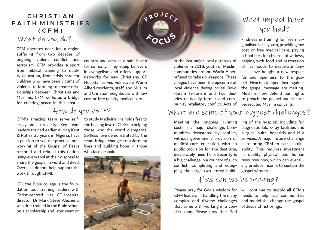### **C H R I S T I A N FAITH MINISTRIES ( C F M )**

### What do you do?

CFM operates near Jos, a region suffering from two decades of ongoing violent conflict and terrorism. CFM provides support from biblical training to quality education, from crisis care for children who have been victims of violence to farming to create relationships between Christians and Muslims. CFM works as a bridge for creating peace in this hostile

country and acts as a safe haven for so many. They equip believers in evangelism and offers support networks for new Christians. CF Hospital serves vulnerable Wurin Alheri residents, staff, and Muslim and Christian neighbours with low cost or free quality medical care.

**P <sup>R</sup> <sup>O</sup> <sup>J</sup> <sup>E</sup> <sup>C</sup> <sup>T</sup>**

**<sup>F</sup> <sup>O</sup> <sup>C</sup> <sup>U</sup> <sup>S</sup>**

### How do you do it?

lessly and tirelessly. Key team leaders trained earlier during Kent & Ruth's 35 years in Nigeria, have a passion to see the practical outworking of the Gospel of Peace restored and rebuild this nation, using every tool at their disposal to share the gospel in word and deed. Overseas donors help support the work through CFMI.

CFI, the Bible college is the foundation tool: training leaders with Christ-centred lives. CF Hospital director, Dr Mark Steve Alechenu, was first trained in the Bible school on a scholarship and later went on

CFM's amazing team serve self-to study Medicine. He holds fast to the healing love of Christ in helping those who the world disregards. Selfless love demonstrated by the team brings change: transforming lives and building hope in those who face despair.



### What impact have you had?

kindness in training for free marginalised local youth, providing low cost or free medical care, paying school fees for children of widows, helping with food and restoration of livelihoods to desperate families, have bought a new respect for and openness to the gospel. Hearts clamped fast against the gospel message are melting. Muslims now defend our rights to preach the gospel and shelter persecuted Muslim converts.

### What are some of your biggest challenges?

How can we be praying?

costs is a major challenge. Com-diagnostic lab, x-ray facilities and munities devastated by conflict, surgical suite, hepatitis and HIV without government provision of services. A major future challenge medical care, education, with no is to bring CFM to self-sustainpublic provision for the destitute, ability. This requires investment desperately need help. Security is in quality physical and human a big challenge in a country of such resources now, which can eventuconflict. Completing and equipping the large two-storey build-

In the last major local outbreak of violence in 2018, youth of Muslim communities around Wurin Alheri refused to take up weapons. These villages have been the epicentre of local violence during brutal Boko Haram terrorism and two decades of deadly farmer and community retaliatory conflict. Acts of

that come with working in a con-of Jesus Christ brings. flict zone. Please pray that God

Meeting the ongoing running ing of the hospital, including full ally produce income to sustain the gospel witness.

Please pray for God's wisdom for will continue to supply all CFM's CFM leaders in handling the many needs to help local communities complex and diverse challenges and model the change the gospel